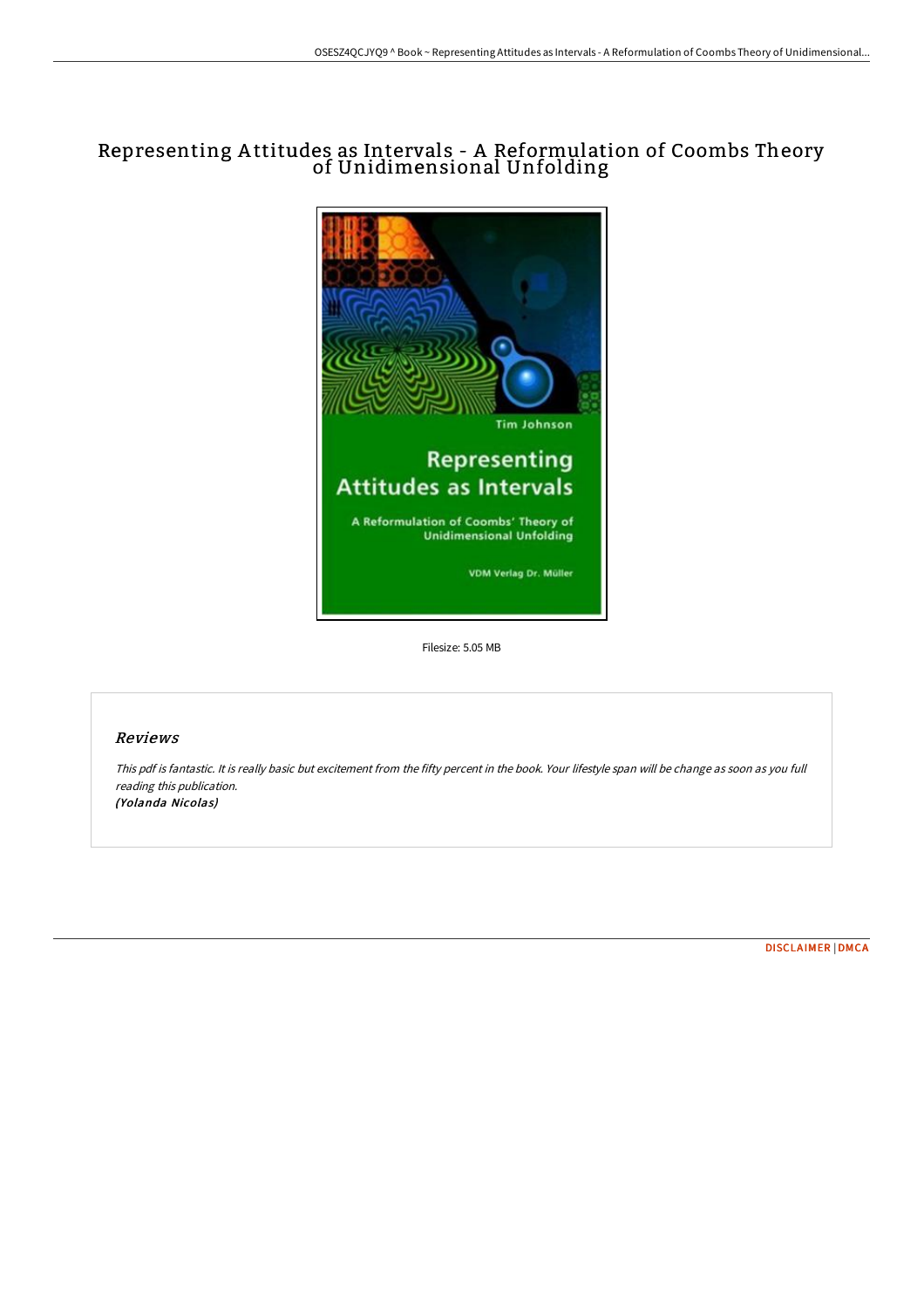# Representing A ttitudes as Intervals - A Reformulation of Coombs Theory of Unidimensional Unfolding



Filesize: 5.05 MB

### Reviews

This pdf is fantastic. It is really basic but excitement from the fifty percent in the book. Your lifestyle span will be change as soon as you full reading this publication. (Yolanda Nicolas)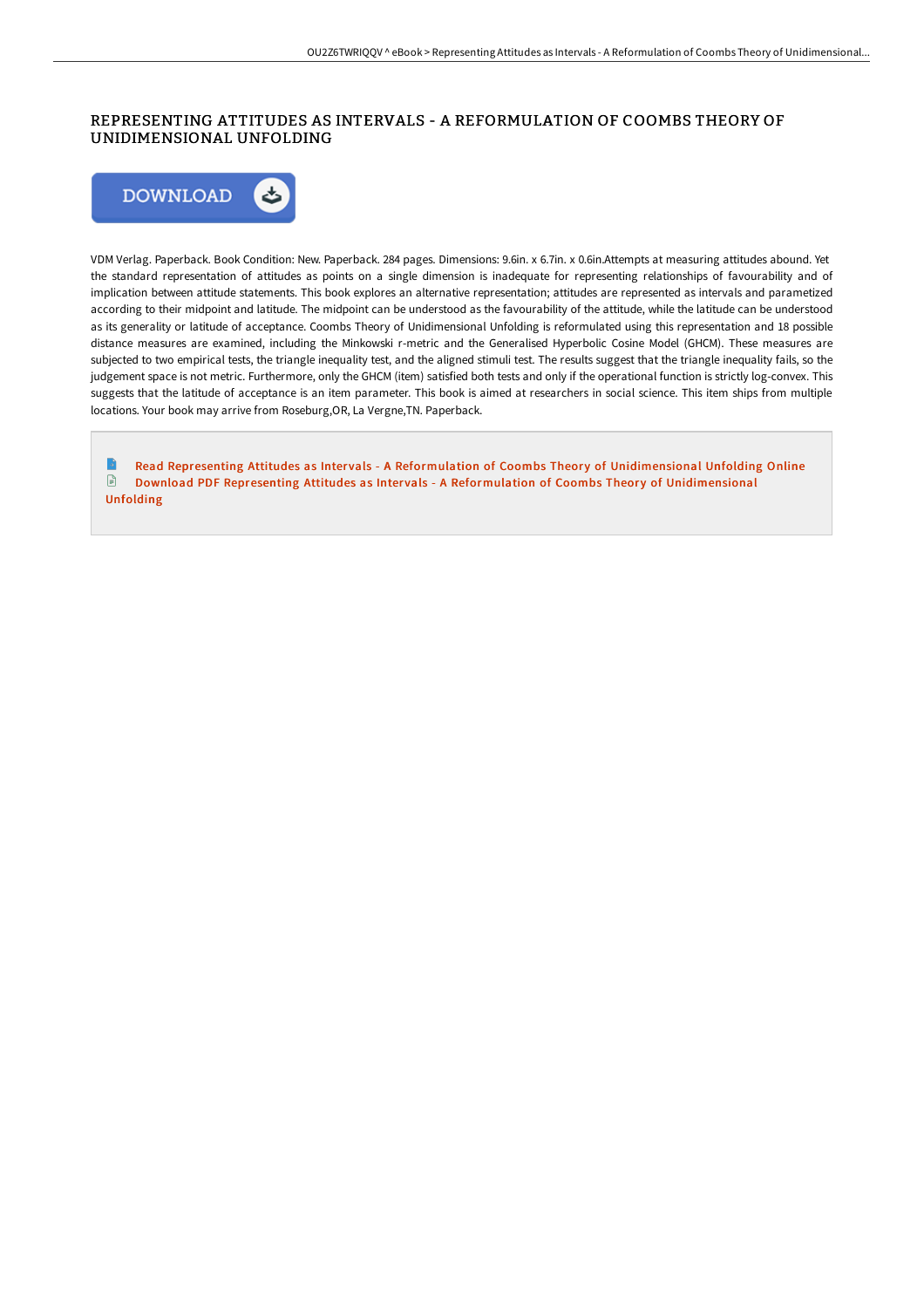## REPRESENTING ATTITUDES AS INTERVALS - A REFORMULATION OF COOMBS THEORY OF UNIDIMENSIONAL UNFOLDING



VDM Verlag. Paperback. Book Condition: New. Paperback. 284 pages. Dimensions: 9.6in. x 6.7in. x 0.6in.Attempts at measuring attitudes abound. Yet the standard representation of attitudes as points on a single dimension is inadequate for representing relationships of favourability and of implication between attitude statements. This book explores an alternative representation; attitudes are represented as intervals and parametized according to their midpoint and latitude. The midpoint can be understood as the favourability of the attitude, while the latitude can be understood as its generality or latitude of acceptance. Coombs Theory of Unidimensional Unfolding is reformulated using this representation and 18 possible distance measures are examined, including the Minkowski r-metric and the Generalised Hyperbolic Cosine Model (GHCM). These measures are subjected to two empirical tests, the triangle inequality test, and the aligned stimuli test. The results suggest that the triangle inequality fails, so the judgement space is not metric. Furthermore, only the GHCM (item) satisfied both tests and only if the operational function is strictly log-convex. This suggests that the latitude of acceptance is an item parameter. This book is aimed at researchers in social science. This item ships from multiple locations. Your book may arrive from Roseburg,OR, La Vergne,TN. Paperback.

Read Representing Attitudes as Intervals - A Reformulation of Coombs Theory of [Unidimensional](http://techno-pub.tech/representing-attitudes-as-intervals-a-reformulat.html) Unfolding Online Download PDF Representing Attitudes as Intervals - A Reformulation of Coombs Theory of [Unidimensional](http://techno-pub.tech/representing-attitudes-as-intervals-a-reformulat.html) Unfolding